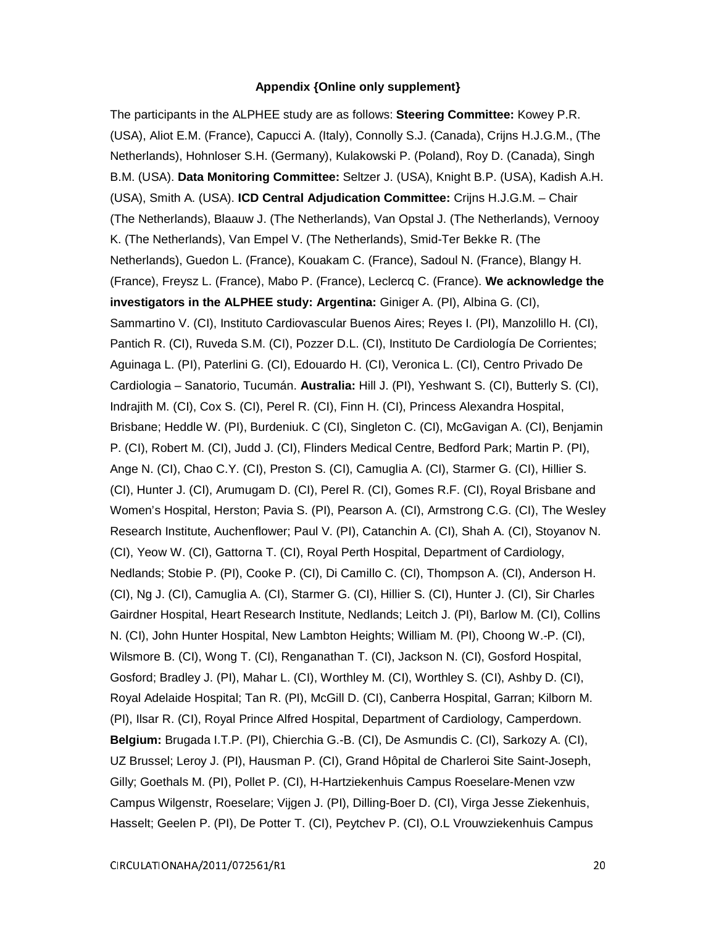## **Appendix {Online only supplement}**

The participants in the ALPHEE study are as follows: **Steering Committee:** Kowey P.R. (USA), Aliot E.M. (France), Capucci A. (Italy), Connolly S.J. (Canada), Crijns H.J.G.M., (The Netherlands), Hohnloser S.H. (Germany), Kulakowski P. (Poland), Roy D. (Canada), Singh B.M. (USA). **Data Monitoring Committee:** Seltzer J. (USA), Knight B.P. (USA), Kadish A.H. (USA), Smith A. (USA). **ICD Central Adjudication Committee:** Crijns H.J.G.M. – Chair (The Netherlands), Blaauw J. (The Netherlands), Van Opstal J. (The Netherlands), Vernooy K. (The Netherlands), Van Empel V. (The Netherlands), Smid-Ter Bekke R. (The Netherlands), Guedon L. (France), Kouakam C. (France), Sadoul N. (France), Blangy H. (France), Freysz L. (France), Mabo P. (France), Leclercq C. (France). **We acknowledge the investigators in the ALPHEE study: Argentina:** Giniger A. (PI), Albina G. (CI), Sammartino V. (CI), Instituto Cardiovascular Buenos Aires; Reyes I. (PI), Manzolillo H. (CI), Pantich R. (CI), Ruveda S.M. (CI), Pozzer D.L. (CI), Instituto De Cardiología De Corrientes; Aguinaga L. (PI), Paterlini G. (CI), Edouardo H. (CI), Veronica L. (CI), Centro Privado De Cardiologia – Sanatorio, Tucumán. **Australia:** Hill J. (PI), Yeshwant S. (CI), Butterly S. (CI), Indrajith M. (CI), Cox S. (CI), Perel R. (CI), Finn H. (CI), Princess Alexandra Hospital, Brisbane; Heddle W. (PI), Burdeniuk. C (CI), Singleton C. (CI), McGavigan A. (CI), Benjamin P. (CI), Robert M. (CI), Judd J. (CI), Flinders Medical Centre, Bedford Park; Martin P. (PI), Ange N. (CI), Chao C.Y. (CI), Preston S. (CI), Camuglia A. (CI), Starmer G. (CI), Hillier S. (CI), Hunter J. (CI), Arumugam D. (CI), Perel R. (CI), Gomes R.F. (CI), Royal Brisbane and Women's Hospital, Herston; Pavia S. (PI), Pearson A. (CI), Armstrong C.G. (CI), The Wesley Research Institute, Auchenflower; Paul V. (PI), Catanchin A. (CI), Shah A. (CI), Stoyanov N. (CI), Yeow W. (CI), Gattorna T. (CI), Royal Perth Hospital, Department of Cardiology, Nedlands; Stobie P. (PI), Cooke P. (CI), Di Camillo C. (CI), Thompson A. (CI), Anderson H. (CI), Ng J. (CI), Camuglia A. (CI), Starmer G. (CI), Hillier S. (CI), Hunter J. (CI), Sir Charles Gairdner Hospital, Heart Research Institute, Nedlands; Leitch J. (PI), Barlow M. (CI), Collins N. (CI), John Hunter Hospital, New Lambton Heights; William M. (PI), Choong W.-P. (CI), Wilsmore B. (CI), Wong T. (CI), Renganathan T. (CI), Jackson N. (CI), Gosford Hospital, Gosford; Bradley J. (PI), Mahar L. (CI), Worthley M. (CI), Worthley S. (CI), Ashby D. (CI), Royal Adelaide Hospital; Tan R. (PI), McGill D. (CI), Canberra Hospital, Garran; Kilborn M. (PI), Ilsar R. (CI), Royal Prince Alfred Hospital, Department of Cardiology, Camperdown. **Belgium:** Brugada I.T.P. (PI), Chierchia G.-B. (CI), De Asmundis C. (CI), Sarkozy A. (CI), UZ Brussel; Leroy J. (PI), Hausman P. (CI), Grand Hôpital de Charleroi Site Saint-Joseph, Gilly; Goethals M. (PI), Pollet P. (CI), H-Hartziekenhuis Campus Roeselare-Menen vzw Campus Wilgenstr, Roeselare; Vijgen J. (PI), Dilling-Boer D. (CI), Virga Jesse Ziekenhuis, Hasselt; Geelen P. (PI), De Potter T. (CI), Peytchev P. (CI), O.L Vrouwziekenhuis Campus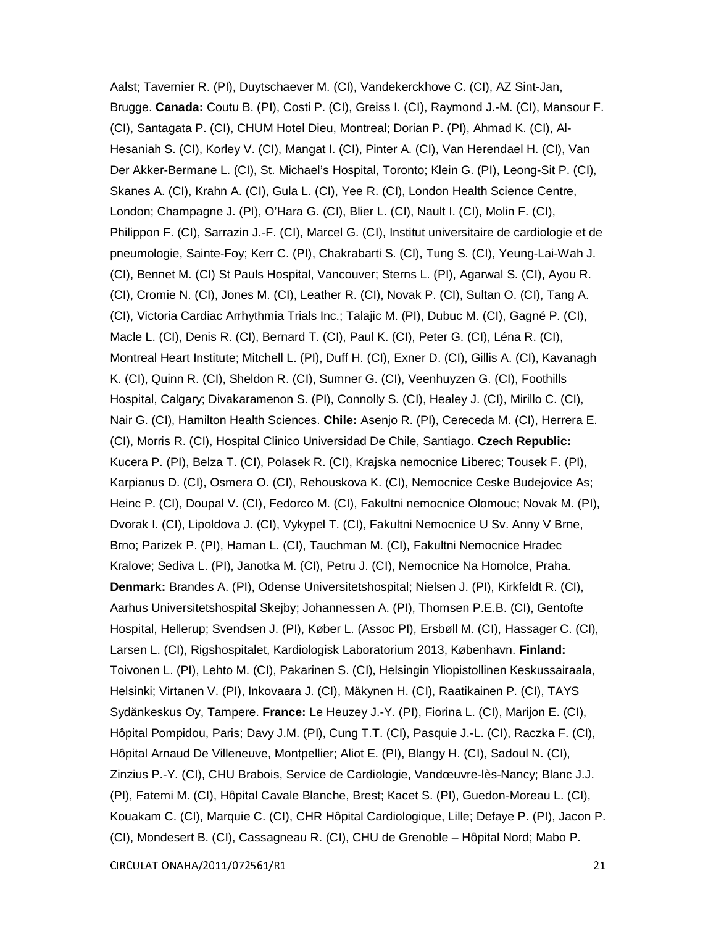Aalst; Tavernier R. (PI), Duytschaever M. (CI), Vandekerckhove C. (CI), AZ Sint-Jan, Brugge. **Canada:** Coutu B. (PI), Costi P. (CI), Greiss I. (CI), Raymond J.-M. (CI), Mansour F. (CI), Santagata P. (CI), CHUM Hotel Dieu, Montreal; Dorian P. (PI), Ahmad K. (CI), Al-Hesaniah S. (CI), Korley V. (CI), Mangat I. (CI), Pinter A. (CI), Van Herendael H. (CI), Van Der Akker-Bermane L. (CI), St. Michael's Hospital, Toronto; Klein G. (PI), Leong-Sit P. (CI), Skanes A. (CI), Krahn A. (CI), Gula L. (CI), Yee R. (CI), London Health Science Centre, London; Champagne J. (PI), O'Hara G. (CI), Blier L. (CI), Nault I. (CI), Molin F. (CI), Philippon F. (CI), Sarrazin J.-F. (CI), Marcel G. (CI), Institut universitaire de cardiologie et de pneumologie, Sainte-Foy; Kerr C. (PI), Chakrabarti S. (CI), Tung S. (CI), Yeung-Lai-Wah J. (CI), Bennet M. (CI) St Pauls Hospital, Vancouver; Sterns L. (PI), Agarwal S. (CI), Ayou R. (CI), Cromie N. (CI), Jones M. (CI), Leather R. (CI), Novak P. (CI), Sultan O. (CI), Tang A. (CI), Victoria Cardiac Arrhythmia Trials Inc.; Talajic M. (PI), Dubuc M. (CI), Gagné P. (CI), Macle L. (CI), Denis R. (CI), Bernard T. (CI), Paul K. (CI), Peter G. (CI), Léna R. (CI), Montreal Heart Institute; Mitchell L. (PI), Duff H. (CI), Exner D. (CI), Gillis A. (CI), Kavanagh K. (CI), Quinn R. (CI), Sheldon R. (CI), Sumner G. (CI), Veenhuyzen G. (CI), Foothills Hospital, Calgary; Divakaramenon S. (PI), Connolly S. (CI), Healey J. (CI), Mirillo C. (CI), Nair G. (CI), Hamilton Health Sciences. **Chile:** Asenjo R. (PI), Cereceda M. (CI), Herrera E. (CI), Morris R. (CI), Hospital Clinico Universidad De Chile, Santiago. **Czech Republic:** Kucera P. (PI), Belza T. (CI), Polasek R. (CI), Krajska nemocnice Liberec; Tousek F. (PI), Karpianus D. (CI), Osmera O. (CI), Rehouskova K. (CI), Nemocnice Ceske Budejovice As; Heinc P. (CI), Doupal V. (CI), Fedorco M. (CI), Fakultni nemocnice Olomouc; Novak M. (PI), Dvorak I. (CI), Lipoldova J. (CI), Vykypel T. (CI), Fakultni Nemocnice U Sv. Anny V Brne, Brno; Parizek P. (PI), Haman L. (CI), Tauchman M. (CI), Fakultni Nemocnice Hradec Kralove; Sediva L. (PI), Janotka M. (CI), Petru J. (CI), Nemocnice Na Homolce, Praha. **Denmark:** Brandes A. (PI), Odense Universitetshospital; Nielsen J. (PI), Kirkfeldt R. (CI), Aarhus Universitetshospital Skejby; Johannessen A. (PI), Thomsen P.E.B. (CI), Gentofte Hospital, Hellerup; Svendsen J. (PI), Køber L. (Assoc PI), Ersbøll M. (CI), Hassager C. (CI), Larsen L. (CI), Rigshospitalet, Kardiologisk Laboratorium 2013, København. **Finland:**  Toivonen L. (PI), Lehto M. (CI), Pakarinen S. (CI), Helsingin Yliopistollinen Keskussairaala, Helsinki; Virtanen V. (PI), Inkovaara J. (CI), Mäkynen H. (CI), Raatikainen P. (CI), TAYS Sydänkeskus Oy, Tampere. **France:** Le Heuzey J.-Y. (PI), Fiorina L. (CI), Marijon E. (CI), Hôpital Pompidou, Paris; Davy J.M. (PI), Cung T.T. (CI), Pasquie J.-L. (CI), Raczka F. (CI), Hôpital Arnaud De Villeneuve, Montpellier; Aliot E. (PI), Blangy H. (CI), Sadoul N. (CI), Zinzius P.-Y. (CI), CHU Brabois, Service de Cardiologie, Vandœuvre-lès-Nancy; Blanc J.J. (PI), Fatemi M. (CI), Hôpital Cavale Blanche, Brest; Kacet S. (PI), Guedon-Moreau L. (CI), Kouakam C. (CI), Marquie C. (CI), CHR Hôpital Cardiologique, Lille; Defaye P. (PI), Jacon P. (CI), Mondesert B. (CI), Cassagneau R. (CI), CHU de Grenoble – Hôpital Nord; Mabo P.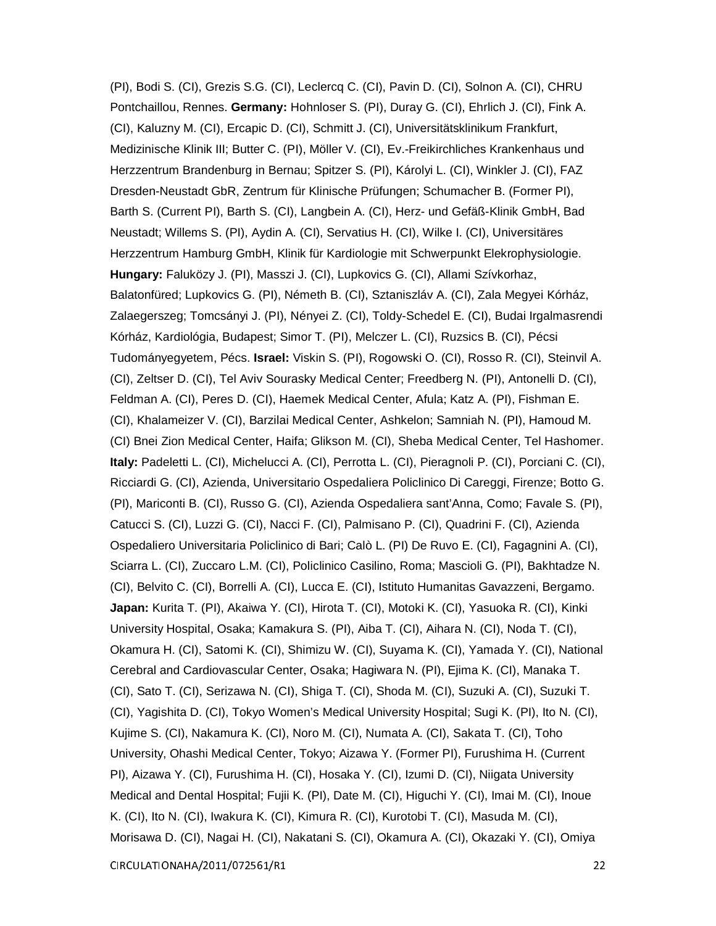(PI), Bodi S. (CI), Grezis S.G. (CI), Leclercq C. (CI), Pavin D. (CI), Solnon A. (CI), CHRU Pontchaillou, Rennes. **Germany:** Hohnloser S. (PI), Duray G. (CI), Ehrlich J. (CI), Fink A. (CI), Kaluzny M. (CI), Ercapic D. (CI), Schmitt J. (CI), Universitätsklinikum Frankfurt, Medizinische Klinik III; Butter C. (PI), Möller V. (CI), Ev.-Freikirchliches Krankenhaus und Herzzentrum Brandenburg in Bernau; Spitzer S. (PI), Károlyi L. (CI), Winkler J. (CI), FAZ Dresden-Neustadt GbR, Zentrum für Klinische Prüfungen; Schumacher B. (Former PI), Barth S. (Current PI), Barth S. (CI), Langbein A. (CI), Herz- und Gefäß-Klinik GmbH, Bad Neustadt; Willems S. (PI), Aydin A. (CI), Servatius H. (CI), Wilke I. (CI), Universitäres Herzzentrum Hamburg GmbH, Klinik für Kardiologie mit Schwerpunkt Elekrophysiologie. **Hungary:** Faluközy J. (PI), Masszi J. (CI), Lupkovics G. (CI), Allami Szívkorhaz, Balatonfüred; Lupkovics G. (PI), Németh B. (CI), Sztaniszláv A. (CI), Zala Megyei Kórház, Zalaegerszeg; Tomcsányi J. (PI), Nényei Z. (CI), Toldy-Schedel E. (CI), Budai Irgalmasrendi Kórház, Kardiológia, Budapest; Simor T. (PI), Melczer L. (CI), Ruzsics B. (CI), Pécsi Tudományegyetem, Pécs. **Israel:** Viskin S. (PI), Rogowski O. (CI), Rosso R. (CI), Steinvil A. (CI), Zeltser D. (CI), Tel Aviv Sourasky Medical Center; Freedberg N. (PI), Antonelli D. (CI), Feldman A. (CI), Peres D. (CI), Haemek Medical Center, Afula; Katz A. (PI), Fishman E. (CI), Khalameizer V. (CI), Barzilai Medical Center, Ashkelon; Samniah N. (PI), Hamoud M. (CI) Bnei Zion Medical Center, Haifa; Glikson M. (CI), Sheba Medical Center, Tel Hashomer. **Italy:** Padeletti L. (CI), Michelucci A. (CI), Perrotta L. (CI), Pieragnoli P. (CI), Porciani C. (CI), Ricciardi G. (CI), Azienda, Universitario Ospedaliera Policlinico Di Careggi, Firenze; Botto G. (PI), Mariconti B. (CI), Russo G. (CI), Azienda Ospedaliera sant'Anna, Como; Favale S. (PI), Catucci S. (CI), Luzzi G. (CI), Nacci F. (CI), Palmisano P. (CI), Quadrini F. (CI), Azienda Ospedaliero Universitaria Policlinico di Bari; Calò L. (PI) De Ruvo E. (CI), Fagagnini A. (CI), Sciarra L. (CI), Zuccaro L.M. (CI), Policlinico Casilino, Roma; Mascioli G. (PI), Bakhtadze N. (CI), Belvito C. (CI), Borrelli A. (CI), Lucca E. (CI), Istituto Humanitas Gavazzeni, Bergamo. **Japan:** Kurita T. (PI), Akaiwa Y. (CI), Hirota T. (CI), Motoki K. (CI), Yasuoka R. (CI), Kinki University Hospital, Osaka; Kamakura S. (PI), Aiba T. (CI), Aihara N. (CI), Noda T. (CI), Okamura H. (CI), Satomi K. (CI), Shimizu W. (CI), Suyama K. (CI), Yamada Y. (CI), National Cerebral and Cardiovascular Center, Osaka; Hagiwara N. (PI), Ejima K. (CI), Manaka T. (CI), Sato T. (CI), Serizawa N. (CI), Shiga T. (CI), Shoda M. (CI), Suzuki A. (CI), Suzuki T. (CI), Yagishita D. (CI), Tokyo Women's Medical University Hospital; Sugi K. (PI), Ito N. (CI), Kujime S. (CI), Nakamura K. (CI), Noro M. (CI), Numata A. (CI), Sakata T. (CI), Toho University, Ohashi Medical Center, Tokyo; Aizawa Y. (Former PI), Furushima H. (Current PI), Aizawa Y. (CI), Furushima H. (CI), Hosaka Y. (CI), Izumi D. (CI), Niigata University Medical and Dental Hospital; Fujii K. (PI), Date M. (CI), Higuchi Y. (CI), Imai M. (CI), Inoue K. (CI), Ito N. (CI), Iwakura K. (CI), Kimura R. (CI), Kurotobi T. (CI), Masuda M. (CI), Morisawa D. (CI), Nagai H. (CI), Nakatani S. (CI), Okamura A. (CI), Okazaki Y. (CI), Omiya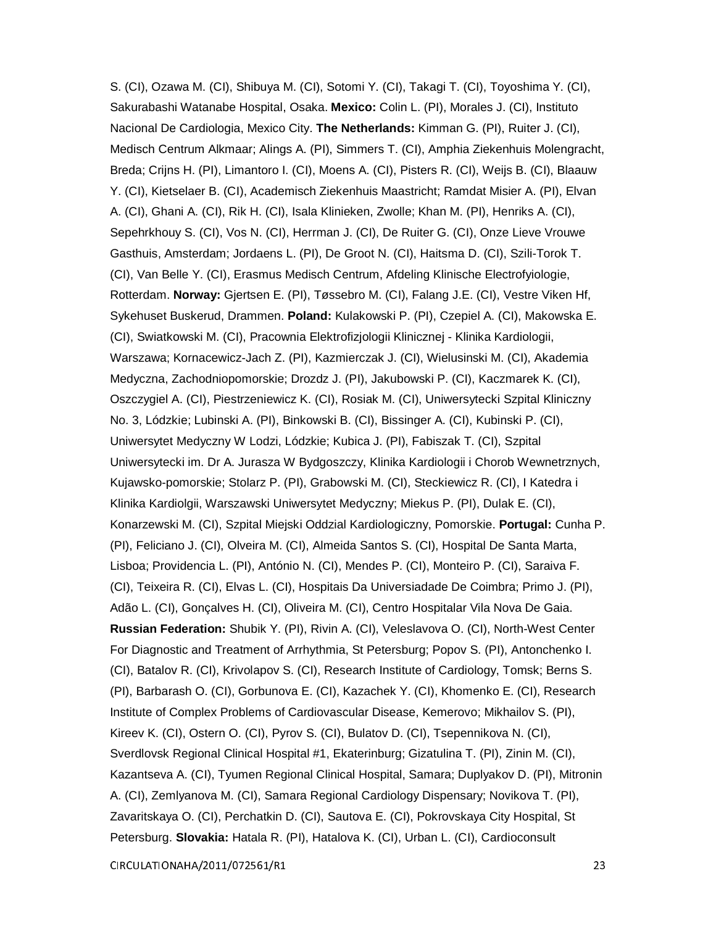S. (CI), Ozawa M. (CI), Shibuya M. (CI), Sotomi Y. (CI), Takagi T. (CI), Toyoshima Y. (CI), Sakurabashi Watanabe Hospital, Osaka. **Mexico:** Colin L. (PI), Morales J. (CI), Instituto Nacional De Cardiologia, Mexico City. **The Netherlands:** Kimman G. (PI), Ruiter J. (CI), Medisch Centrum Alkmaar; Alings A. (PI), Simmers T. (CI), Amphia Ziekenhuis Molengracht, Breda; Crijns H. (PI), Limantoro I. (CI), Moens A. (CI), Pisters R. (CI), Weijs B. (CI), Blaauw Y. (CI), Kietselaer B. (CI), Academisch Ziekenhuis Maastricht; Ramdat Misier A. (PI), Elvan A. (CI), Ghani A. (CI), Rik H. (CI), Isala Klinieken, Zwolle; Khan M. (PI), Henriks A. (CI), Sepehrkhouy S. (CI), Vos N. (CI), Herrman J. (CI), De Ruiter G. (CI), Onze Lieve Vrouwe Gasthuis, Amsterdam; Jordaens L. (PI), De Groot N. (CI), Haitsma D. (CI), Szili-Torok T. (CI), Van Belle Y. (CI), Erasmus Medisch Centrum, Afdeling Klinische Electrofyiologie, Rotterdam. **Norway:** Gjertsen E. (PI), Tøssebro M. (CI), Falang J.E. (CI), Vestre Viken Hf, Sykehuset Buskerud, Drammen. **Poland:** Kulakowski P. (PI), Czepiel A. (CI), Makowska E. (CI), Swiatkowski M. (CI), Pracownia Elektrofizjologii Klinicznej - Klinika Kardiologii, Warszawa; Kornacewicz-Jach Z. (PI), Kazmierczak J. (CI), Wielusinski M. (CI), Akademia Medyczna, Zachodniopomorskie; Drozdz J. (PI), Jakubowski P. (CI), Kaczmarek K. (CI), Oszczygiel A. (CI), Piestrzeniewicz K. (CI), Rosiak M. (CI), Uniwersytecki Szpital Kliniczny No. 3, Lódzkie; Lubinski A. (PI), Binkowski B. (CI), Bissinger A. (CI), Kubinski P. (CI), Uniwersytet Medyczny W Lodzi, Lódzkie; Kubica J. (PI), Fabiszak T. (CI), Szpital Uniwersytecki im. Dr A. Jurasza W Bydgoszczy, Klinika Kardiologii i Chorob Wewnetrznych, Kujawsko-pomorskie; Stolarz P. (PI), Grabowski M. (CI), Steckiewicz R. (CI), I Katedra i Klinika Kardiolgii, Warszawski Uniwersytet Medyczny; Miekus P. (PI), Dulak E. (CI), Konarzewski M. (CI), Szpital Miejski Oddzial Kardiologiczny, Pomorskie. **Portugal:** Cunha P. (PI), Feliciano J. (CI), Olveira M. (CI), Almeida Santos S. (CI), Hospital De Santa Marta, Lisboa; Providencia L. (PI), António N. (CI), Mendes P. (CI), Monteiro P. (CI), Saraiva F. (CI), Teixeira R. (CI), Elvas L. (CI), Hospitais Da Universiadade De Coimbra; Primo J. (PI), Adão L. (CI), Gonçalves H. (CI), Oliveira M. (CI), Centro Hospitalar Vila Nova De Gaia. **Russian Federation:** Shubik Y. (PI), Rivin A. (CI), Veleslavova O. (CI), North-West Center For Diagnostic and Treatment of Arrhythmia, St Petersburg; Popov S. (PI), Antonchenko I. (CI), Batalov R. (CI), Krivolapov S. (CI), Research Institute of Cardiology, Tomsk; Berns S. (PI), Barbarash O. (CI), Gorbunova E. (CI), Kazachek Y. (CI), Khomenko E. (CI), Research Institute of Complex Problems of Cardiovascular Disease, Kemerovo; Mikhailov S. (PI), Kireev K. (CI), Ostern O. (CI), Pyrov S. (CI), Bulatov D. (CI), Tsepennikova N. (CI), Sverdlovsk Regional Clinical Hospital #1, Ekaterinburg; Gizatulina T. (PI), Zinin M. (CI), Kazantseva A. (CI), Tyumen Regional Clinical Hospital, Samara; Duplyakov D. (PI), Mitronin A. (CI), Zemlyanova M. (CI), Samara Regional Cardiology Dispensary; Novikova T. (PI), Zavaritskaya O. (CI), Perchatkin D. (CI), Sautova E. (CI), Pokrovskaya City Hospital, St Petersburg. **Slovakia:** Hatala R. (PI), Hatalova K. (CI), Urban L. (CI), Cardioconsult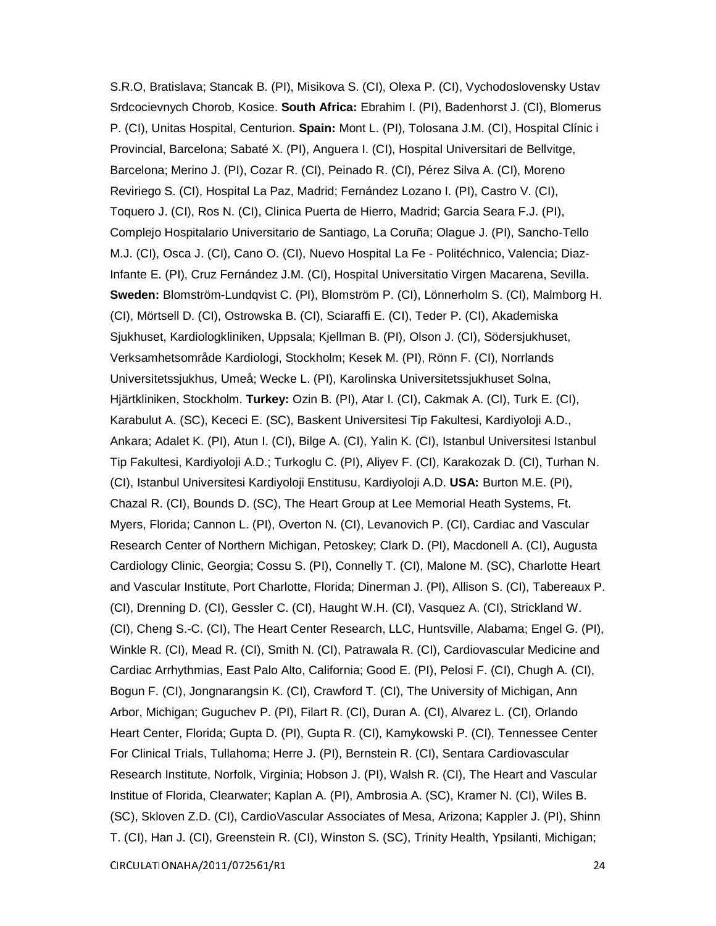S.R.O, Bratislava; Stancak B. (PI), Misikova S. (CI), Olexa P. (CI), Vychodoslovensky Ustav Srdcocievnych Chorob, Kosice. **South Africa:** Ebrahim I. (PI), Badenhorst J. (CI), Blomerus P. (CI), Unitas Hospital, Centurion. **Spain:** Mont L. (PI), Tolosana J.M. (CI), Hospital Clínic i Provincial, Barcelona; Sabaté X. (PI), Anguera I. (CI), Hospital Universitari de Bellvitge, Barcelona; Merino J. (PI), Cozar R. (CI), Peinado R. (CI), Pérez Silva A. (CI), Moreno Reviriego S. (CI), Hospital La Paz, Madrid; Fernández Lozano I. (PI), Castro V. (CI), Toquero J. (CI), Ros N. (CI), Clinica Puerta de Hierro, Madrid; Garcia Seara F.J. (PI), Complejo Hospitalario Universitario de Santiago, La Coruña; Olague J. (PI), Sancho-Tello M.J. (CI), Osca J. (CI), Cano O. (CI), Nuevo Hospital La Fe - Politéchnico, Valencia; Diaz-Infante E. (PI), Cruz Fernández J.M. (CI), Hospital Universitatio Virgen Macarena, Sevilla. **Sweden:** Blomström-Lundqvist C. (PI), Blomström P. (CI), Lönnerholm S. (CI), Malmborg H. (CI), Mörtsell D. (CI), Ostrowska B. (CI), Sciaraffi E. (CI), Teder P. (CI), Akademiska Sjukhuset, Kardiologkliniken, Uppsala; Kjellman B. (PI), Olson J. (CI), Södersjukhuset, Verksamhetsområde Kardiologi, Stockholm; Kesek M. (PI), Rönn F. (CI), Norrlands Universitetssjukhus, Umeå; Wecke L. (PI), Karolinska Universitetssjukhuset Solna, Hjärtkliniken, Stockholm. **Turkey:** Ozin B. (PI), Atar I. (CI), Cakmak A. (CI), Turk E. (CI), Karabulut A. (SC), Kececi E. (SC), Baskent Universitesi Tip Fakultesi, Kardiyoloji A.D., Ankara; Adalet K. (PI), Atun I. (CI), Bilge A. (CI), Yalin K. (CI), Istanbul Universitesi Istanbul Tip Fakultesi, Kardiyoloji A.D.; Turkoglu C. (PI), Aliyev F. (CI), Karakozak D. (CI), Turhan N. (CI), Istanbul Universitesi Kardiyoloji Enstitusu, Kardiyoloji A.D. **USA:** Burton M.E. (PI), Chazal R. (CI), Bounds D. (SC), The Heart Group at Lee Memorial Heath Systems, Ft. Myers, Florida; Cannon L. (PI), Overton N. (CI), Levanovich P. (CI), Cardiac and Vascular Research Center of Northern Michigan, Petoskey; Clark D. (PI), Macdonell A. (CI), Augusta Cardiology Clinic, Georgia; Cossu S. (PI), Connelly T. (CI), Malone M. (SC), Charlotte Heart and Vascular Institute, Port Charlotte, Florida; Dinerman J. (PI), Allison S. (CI), Tabereaux P. (CI), Drenning D. (CI), Gessler C. (CI), Haught W.H. (CI), Vasquez A. (CI), Strickland W. (CI), Cheng S.-C. (CI), The Heart Center Research, LLC, Huntsville, Alabama; Engel G. (PI), Winkle R. (CI), Mead R. (CI), Smith N. (CI), Patrawala R. (CI), Cardiovascular Medicine and Cardiac Arrhythmias, East Palo Alto, California; Good E. (PI), Pelosi F. (CI), Chugh A. (CI), Bogun F. (CI), Jongnarangsin K. (CI), Crawford T. (CI), The University of Michigan, Ann Arbor, Michigan; Guguchev P. (PI), Filart R. (CI), Duran A. (CI), Alvarez L. (CI), Orlando Heart Center, Florida; Gupta D. (PI), Gupta R. (CI), Kamykowski P. (CI), Tennessee Center For Clinical Trials, Tullahoma; Herre J. (PI), Bernstein R. (CI), Sentara Cardiovascular Research Institute, Norfolk, Virginia; Hobson J. (PI), Walsh R. (CI), The Heart and Vascular Institue of Florida, Clearwater; Kaplan A. (PI), Ambrosia A. (SC), Kramer N. (CI), Wiles B. (SC), Skloven Z.D. (CI), CardioVascular Associates of Mesa, Arizona; Kappler J. (PI), Shinn T. (CI), Han J. (CI), Greenstein R. (CI), Winston S. (SC), Trinity Health, Ypsilanti, Michigan;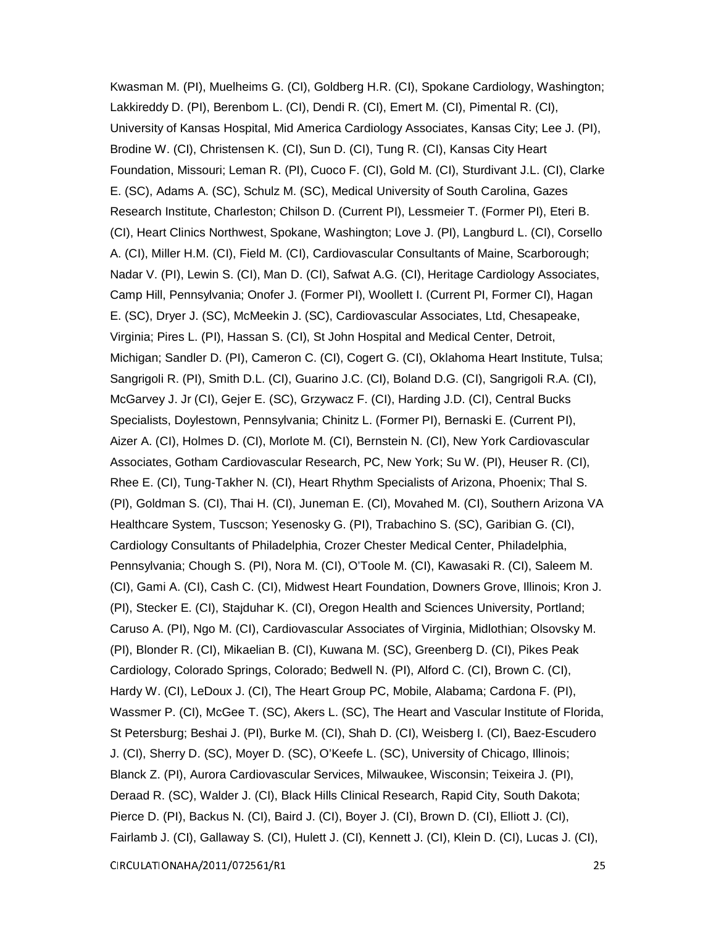Kwasman M. (PI), Muelheims G. (CI), Goldberg H.R. (CI), Spokane Cardiology, Washington; Lakkireddy D. (PI), Berenbom L. (CI), Dendi R. (CI), Emert M. (CI), Pimental R. (CI), University of Kansas Hospital, Mid America Cardiology Associates, Kansas City; Lee J. (PI), Brodine W. (CI), Christensen K. (CI), Sun D. (CI), Tung R. (CI), Kansas City Heart Foundation, Missouri; Leman R. (PI), Cuoco F. (CI), Gold M. (CI), Sturdivant J.L. (CI), Clarke E. (SC), Adams A. (SC), Schulz M. (SC), Medical University of South Carolina, Gazes Research Institute, Charleston; Chilson D. (Current PI), Lessmeier T. (Former PI), Eteri B. (CI), Heart Clinics Northwest, Spokane, Washington; Love J. (PI), Langburd L. (CI), Corsello A. (CI), Miller H.M. (CI), Field M. (CI), Cardiovascular Consultants of Maine, Scarborough; Nadar V. (PI), Lewin S. (CI), Man D. (CI), Safwat A.G. (CI), Heritage Cardiology Associates, Camp Hill, Pennsylvania; Onofer J. (Former PI), Woollett I. (Current PI, Former CI), Hagan E. (SC), Dryer J. (SC), McMeekin J. (SC), Cardiovascular Associates, Ltd, Chesapeake, Virginia; Pires L. (PI), Hassan S. (CI), St John Hospital and Medical Center, Detroit, Michigan; Sandler D. (PI), Cameron C. (CI), Cogert G. (CI), Oklahoma Heart Institute, Tulsa; Sangrigoli R. (PI), Smith D.L. (CI), Guarino J.C. (CI), Boland D.G. (CI), Sangrigoli R.A. (CI), McGarvey J. Jr (CI), Gejer E. (SC), Grzywacz F. (CI), Harding J.D. (CI), Central Bucks Specialists, Doylestown, Pennsylvania; Chinitz L. (Former PI), Bernaski E. (Current PI), Aizer A. (CI), Holmes D. (CI), Morlote M. (CI), Bernstein N. (CI), New York Cardiovascular Associates, Gotham Cardiovascular Research, PC, New York; Su W. (PI), Heuser R. (CI), Rhee E. (CI), Tung-Takher N. (CI), Heart Rhythm Specialists of Arizona, Phoenix; Thal S. (PI), Goldman S. (CI), Thai H. (CI), Juneman E. (CI), Movahed M. (CI), Southern Arizona VA Healthcare System, Tuscson; Yesenosky G. (PI), Trabachino S. (SC), Garibian G. (CI), Cardiology Consultants of Philadelphia, Crozer Chester Medical Center, Philadelphia, Pennsylvania; Chough S. (PI), Nora M. (CI), O'Toole M. (CI), Kawasaki R. (CI), Saleem M. (CI), Gami A. (CI), Cash C. (CI), Midwest Heart Foundation, Downers Grove, Illinois; Kron J. (PI), Stecker E. (CI), Stajduhar K. (CI), Oregon Health and Sciences University, Portland; Caruso A. (PI), Ngo M. (CI), Cardiovascular Associates of Virginia, Midlothian; Olsovsky M. (PI), Blonder R. (CI), Mikaelian B. (CI), Kuwana M. (SC), Greenberg D. (CI), Pikes Peak Cardiology, Colorado Springs, Colorado; Bedwell N. (PI), Alford C. (CI), Brown C. (CI), Hardy W. (CI), LeDoux J. (CI), The Heart Group PC, Mobile, Alabama; Cardona F. (PI), Wassmer P. (CI), McGee T. (SC), Akers L. (SC), The Heart and Vascular Institute of Florida, St Petersburg; Beshai J. (PI), Burke M. (CI), Shah D. (CI), Weisberg I. (CI), Baez-Escudero J. (CI), Sherry D. (SC), Moyer D. (SC), O'Keefe L. (SC), University of Chicago, Illinois; Blanck Z. (PI), Aurora Cardiovascular Services, Milwaukee, Wisconsin; Teixeira J. (PI), Deraad R. (SC), Walder J. (CI), Black Hills Clinical Research, Rapid City, South Dakota; Pierce D. (PI), Backus N. (CI), Baird J. (CI), Boyer J. (CI), Brown D. (CI), Elliott J. (CI), Fairlamb J. (CI), Gallaway S. (CI), Hulett J. (CI), Kennett J. (CI), Klein D. (CI), Lucas J. (CI),